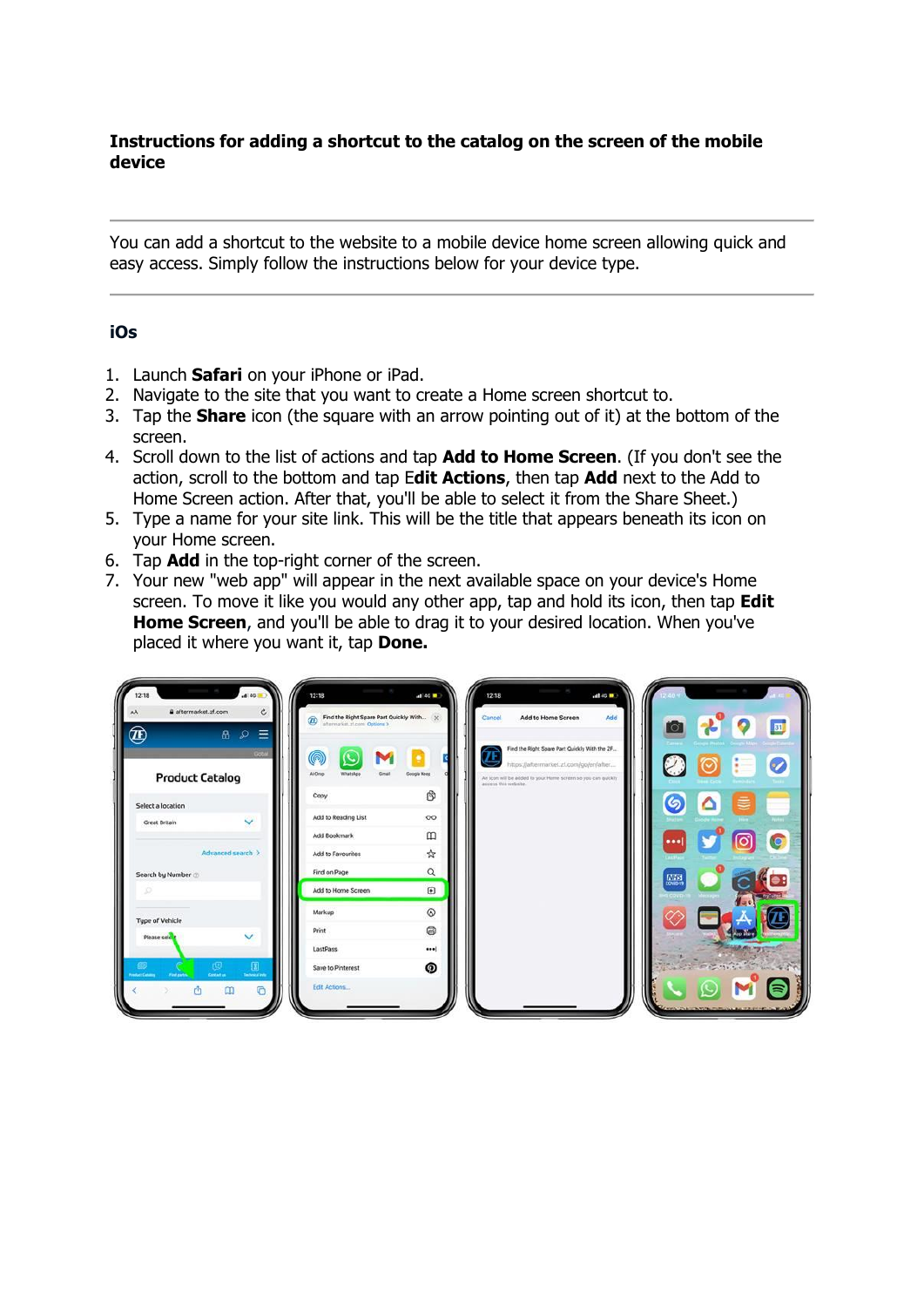## **Instructions for adding a shortcut to the catalog on the screen of the mobile device**

You can add a shortcut to the website to a mobile device home screen allowing quick and easy access. Simply follow the instructions below for your device type.

## **iOs**

- 1. Launch **Safari** on your iPhone or iPad.
- 2. Navigate to the site that you want to create a Home screen shortcut to.
- 3. Tap the **Share** icon (the square with an arrow pointing out of it) at the bottom of the screen.
- 4. Scroll down to the list of actions and tap **Add to Home Screen**. (If you don't see the action, scroll to the bottom and tap E**dit Actions**, then tap **Add** next to the Add to Home Screen action. After that, you'll be able to select it from the Share Sheet.)
- 5. Type a name for your site link. This will be the title that appears beneath its icon on your Home screen.
- 6. Tap **Add** in the top-right corner of the screen.
- 7. Your new "web app" will appear in the next available space on your device's Home screen. To move it like you would any other app, tap and hold its icon, then tap **Edit Home Screen**, and you'll be able to drag it to your desired location. When you've placed it where you want it, tap **Done.**